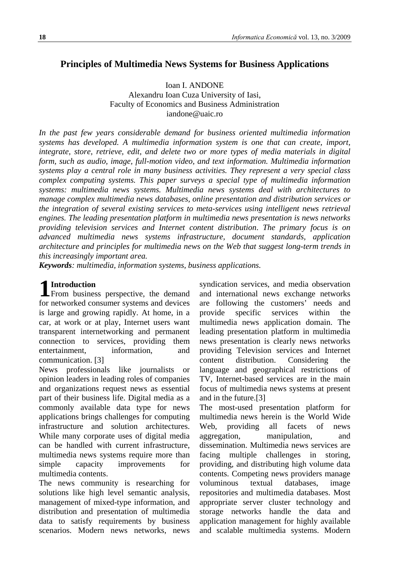# **Principles of Multimedia News Systems for Business Applications**

Ioan I. ANDONE

Alexandru Ioan Cuza University of Iasi, Faculty of Economics and Business Administration iandone@uaic.ro

*In the past few years considerable demand for business oriented multimedia information systems has developed. A multimedia information system is one that can create, import, integrate, store, retrieve, edit, and delete two or more types of media materials in digital form, such as audio, image, full-motion video, and text information. Multimedia information systems play a central role in many business activities. They represent a very special class complex computing systems. This paper surveys a special type of multimedia information systems: multimedia news systems. Multimedia news systems deal with architectures to manage complex multimedia news databases, online presentation and distribution services or the integration of several existing services to meta-services using intelligent news retrieval engines. The leading presentation platform in multimedia news presentation is news networks providing television services and Internet content distribution*. *The primary focus is on advanced multimedia news systems infrastructure, document standards, application architecture and principles for multimedia news on the Web that suggest long-term trends in this increasingly important area.*

*Keywords: multimedia, information systems, business applications.* 

# **Introduction**

**1** Introduction<br>From business perspective, the demand for networked consumer systems and devices is large and growing rapidly. At home, in a car, at work or at play, Internet users want transparent internetworking and permanent connection to services, providing them entertainment, information, and communication. [3]

News professionals like journalists or opinion leaders in leading roles of companies and organizations request news as essential part of their business life. Digital media as a commonly available data type for news applications brings challenges for computing infrastructure and solution architectures. While many corporate uses of digital media can be handled with current infrastructure, multimedia news systems require more than simple capacity improvements for multimedia contents.

The news community is researching for solutions like high level semantic analysis, management of mixed-type information, and distribution and presentation of multimedia data to satisfy requirements by business scenarios. Modern news networks, news syndication services, and media observation and international news exchange networks are following the customers' needs and provide specific services within the multimedia news application domain. The leading presentation platform in multimedia news presentation is clearly news networks providing Television services and Internet content distribution. Considering the language and geographical restrictions of TV, Internet-based services are in the main focus of multimedia news systems at present and in the future.[3]

The most-used presentation platform for multimedia news herein is the World Wide Web, providing all facets of news aggregation, manipulation, and dissemination. Multimedia news services are facing multiple challenges in storing, providing, and distributing high volume data contents. Competing news providers manage voluminous textual databases, image repositories and multimedia databases. Most appropriate server cluster technology and storage networks handle the data and application management for highly available and scalable multimedia systems. Modern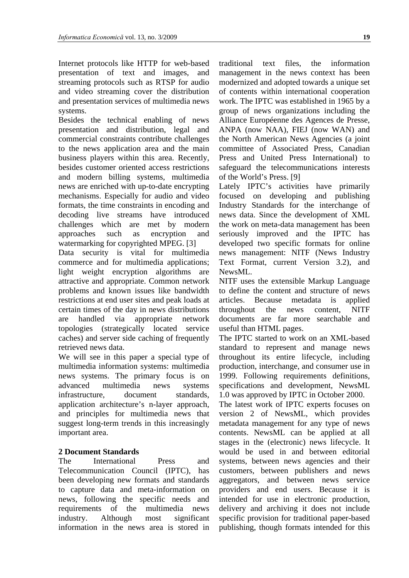Internet protocols like HTTP for web-based presentation of text and images, and streaming protocols such as RTSP for audio and video streaming cover the distribution and presentation services of multimedia news systems.

Besides the technical enabling of news presentation and distribution, legal and commercial constraints contribute challenges to the news application area and the main business players within this area. Recently, besides customer oriented access restrictions and modern billing systems, multimedia news are enriched with up-to-date encrypting mechanisms. Especially for audio and video formats, the time constraints in encoding and decoding live streams have introduced challenges which are met by modern approaches such as encryption and watermarking for copyrighted MPEG. [3]

Data security is vital for multimedia commerce and for multimedia applications; light weight encryption algorithms are attractive and appropriate. Common network problems and known issues like bandwidth restrictions at end user sites and peak loads at certain times of the day in news distributions are handled via appropriate network topologies (strategically located service caches) and server side caching of frequently retrieved news data.

We will see in this paper a special type of multimedia information systems: multimedia news systems. The primary focus is on advanced multimedia news systems infrastructure, document standards, application architecture's n-layer approach, and principles for multimedia news that suggest long-term trends in this increasingly important area.

## **2 Document Standards**

The International Press and Telecommunication Council (IPTC), has been developing new formats and standards to capture data and meta-information on news, following the specific needs and requirements of the multimedia news industry. Although most significant information in the news area is stored in

traditional text files, the information management in the news context has been modernized and adopted towards a unique set of contents within international cooperation work. The IPTC was established in 1965 by a group of news organizations including the Alliance Européenne des Agences de Presse, ANPA (now NAA), FIEJ (now WAN) and the North American News Agencies (a joint committee of Associated Press, Canadian Press and United Press International) to safeguard the telecommunications interests of the World's Press. [9]

Lately IPTC's activities have primarily focused on developing and publishing Industry Standards for the interchange of news data. Since the development of XML the work on meta-data management has been seriously improved and the IPTC has developed two specific formats for online news management: NITF (News Industry Text Format, current Version 3.2), and NewsML.

NITF uses the extensible Markup Language to define the content and structure of news articles. Because metadata is applied throughout the news content, NITF documents are far more searchable and useful than HTML pages.

The IPTC started to work on an XML-based standard to represent and manage news throughout its entire lifecycle, including production, interchange, and consumer use in 1999. Following requirements definitions, specifications and development, NewsML 1.0 was approved by IPTC in October 2000.

The latest work of IPTC experts focuses on version 2 of NewsML, which provides metadata management for any type of news contents. NewsML can be applied at all stages in the (electronic) news lifecycle. It would be used in and between editorial systems, between news agencies and their customers, between publishers and news aggregators, and between news service providers and end users. Because it is intended for use in electronic production, delivery and archiving it does not include specific provision for traditional paper-based publishing, though formats intended for this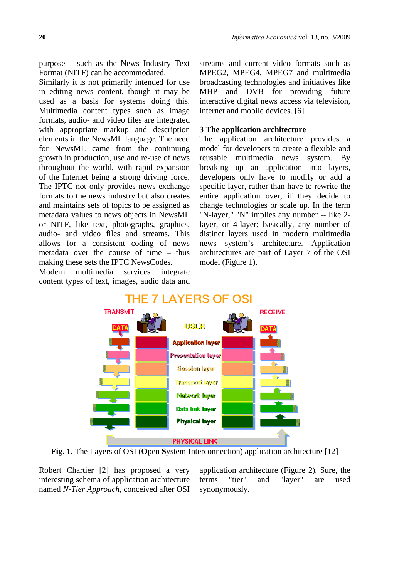purpose – such as the News Industry Text Format (NITF) can be accommodated.

Similarly it is not primarily intended for use in editing news content, though it may be used as a basis for systems doing this. Multimedia content types such as image formats, audio- and video files are integrated with appropriate markup and description elements in the NewsML language. The need for NewsML came from the continuing growth in production, use and re-use of news throughout the world, with rapid expansion of the Internet being a strong driving force. The IPTC not only provides news exchange formats to the news industry but also creates and maintains sets of topics to be assigned as metadata values to news objects in NewsML or NITF, like text, photographs, graphics, audio- and video files and streams. This allows for a consistent coding of news metadata over the course of time – thus making these sets the IPTC NewsCodes.

Modern multimedia services integrate content types of text, images, audio data and streams and current video formats such as MPEG2, MPEG4, MPEG7 and multimedia broadcasting technologies and initiatives like MHP and DVB for providing future interactive digital news access via television, internet and mobile devices. [6]

### **3 The application architecture**

The application architecture provides a model for developers to create a flexible and reusable multimedia news system. By breaking up an application into layers, developers only have to modify or add a specific layer, rather than have to rewrite the entire application over, if they decide to change technologies or scale up. In the term "N-layer," "N" implies any number -- like 2 layer, or 4-layer; basically, any number of distinct layers used in modern multimedia news system's architecture. Application architectures are part of Layer 7 of the OSI model (Figure 1).



**Fig. 1.** The Layers of OSI (**O**pen **S**ystem **I**nterconnection) application architecture [12]

Robert Chartier [2] has proposed a very interesting schema of application architecture named *N-Tier Approach,* conceived after OSI application architecture (Figure 2)*.* Sure, the terms "tier" and "layer" are used synonymously.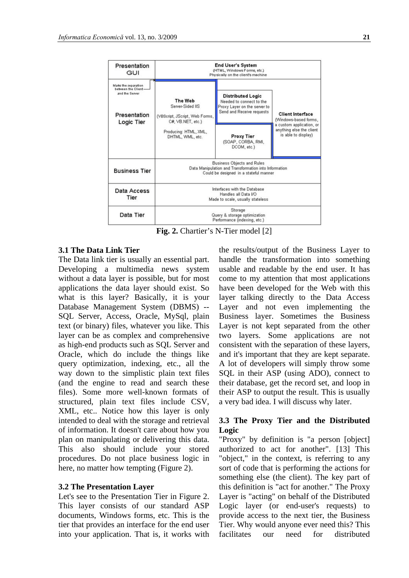

**Fig. 2.** Chartier's N-Tier model [2]

### **3.1 The Data Link Tier**

The Data link tier is usually an essential part. Developing a multimedia news system without a data layer is possible, but for most applications the data layer should exist. So what is this layer? Basically, it is your Database Management System (DBMS) -- SQL Server, Access, Oracle, MySql, plain text (or binary) files, whatever you like. This layer can be as complex and comprehensive as high-end products such as SQL Server and Oracle, which do include the things like query optimization, indexing, etc., all the way down to the simplistic plain text files (and the engine to read and search these files). Some more well-known formats of structured, plain text files include CSV, XML, etc.. Notice how this layer is only intended to deal with the storage and retrieval of information. It doesn't care about how you plan on manipulating or delivering this data. This also should include your stored procedures. Do not place business logic in here, no matter how tempting (Figure 2).

#### **3.2 The Presentation Layer**

Let's see to the Presentation Tier in Figure 2. This layer consists of our standard ASP documents, Windows forms, etc. This is the tier that provides an interface for the end user into your application. That is, it works with the results/output of the Business Layer to handle the transformation into something usable and readable by the end user. It has come to my attention that most applications have been developed for the Web with this layer talking directly to the Data Access Layer and not even implementing the Business layer. Sometimes the Business Layer is not kept separated from the other two layers. Some applications are not consistent with the separation of these layers, and it's important that they are kept separate. A lot of developers will simply throw some SQL in their ASP (using ADO), connect to their database, get the record set, and loop in their ASP to output the result. This is usually a very bad idea. I will discuss why later.

## **3.3 The Proxy Tier and the Distributed Logic**

"Proxy" by definition is "a person [object] authorized to act for another". [13] This "object," in the context, is referring to any sort of code that is performing the actions for something else (the client). The key part of this definition is "act for another." The Proxy Layer is "acting" on behalf of the Distributed Logic layer (or end-user's requests) to provide access to the next tier, the Business Tier. Why would anyone ever need this? This facilitates our need for distributed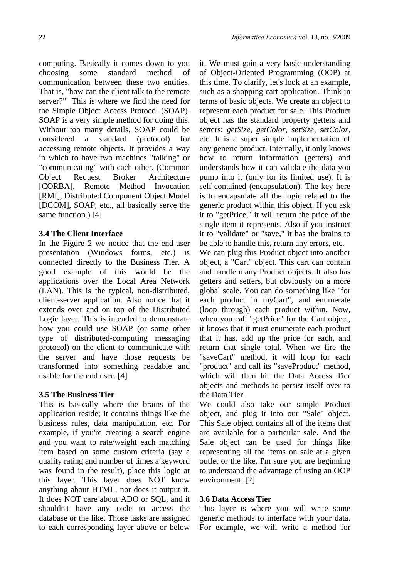computing. Basically it comes down to you choosing some standard method of communication between these two entities. That is, "how can the client talk to the remote server?" This is where we find the need for the Simple Object Access Protocol (SOAP). SOAP is a very simple method for doing this. Without too many details, SOAP could be considered a standard (protocol) for accessing remote objects. It provides a way in which to have two machines "talking" or "communicating" with each other. (Common Object Request Broker Architecture [CORBA], Remote Method Invocation [RMI], Distributed Component Object Model [DCOM], SOAP, etc., all basically serve the same function.) [4]

#### **3.4 The Client Interface**

In the Figure 2 we notice that the end-user presentation (Windows forms, etc.) is connected directly to the Business Tier. A good example of this would be the applications over the Local Area Network (LAN). This is the typical, non-distributed, client-server application. Also notice that it extends over and on top of the Distributed Logic layer. This is intended to demonstrate how you could use SOAP (or some other type of distributed-computing messaging protocol) on the client to communicate with the server and have those requests be transformed into something readable and usable for the end user. [4]

#### **3.5 The Business Tier**

This is basically where the brains of the application reside; it contains things like the business rules, data manipulation, etc. For example, if you're creating a search engine and you want to rate/weight each matching item based on some custom criteria (say a quality rating and number of times a keyword was found in the result), place this logic at this layer. This layer does NOT know anything about HTML, nor does it output it. It does NOT care about ADO or SQL, and it shouldn't have any code to access the database or the like. Those tasks are assigned to each corresponding layer above or below

it. We must gain a very basic understanding of Object-Oriented Programming (OOP) at this time. To clarify, let's look at an example, such as a shopping cart application. Think in terms of basic objects. We create an object to represent each product for sale. This Product object has the standard property getters and setters: *getSize*, *getColor*, *setSize*, *setColor*, etc. It is a super simple implementation of any generic product. Internally, it only knows how to return information (getters) and understands how it can validate the data you pump into it (only for its limited use). It is self-contained (encapsulation). The key here is to encapsulate all the logic related to the generic product within this object. If you ask it to "getPrice," it will return the price of the single item it represents. Also if you instruct it to "validate" or "save," it has the brains to be able to handle this, return any errors, etc.

We can plug this Product object into another object, a "Cart" object. This cart can contain and handle many Product objects. It also has getters and setters, but obviously on a more global scale. You can do something like "for each product in myCart", and enumerate (loop through) each product within. Now, when you call "getPrice" for the Cart object, it knows that it must enumerate each product that it has, add up the price for each, and return that single total. When we fire the "saveCart" method, it will loop for each "product" and call its "saveProduct" method, which will then hit the Data Access Tier objects and methods to persist itself over to the Data Tier.

We could also take our simple Product object, and plug it into our "Sale" object. This Sale object contains all of the items that are available for a particular sale. And the Sale object can be used for things like representing all the items on sale at a given outlet or the like. I'm sure you are beginning to understand the advantage of using an OOP environment. [2]

#### **3.6 Data Access Tier**

This layer is where you will write some generic methods to interface with your data. For example, we will write a method for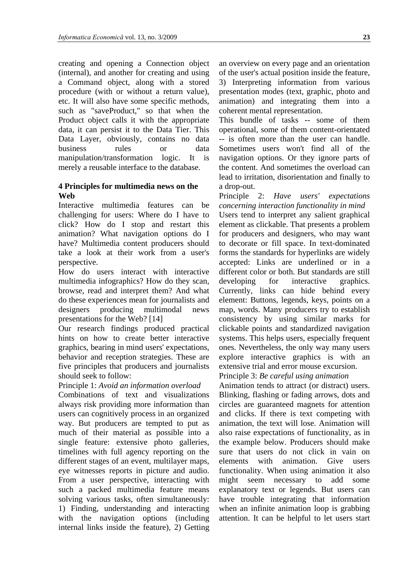creating and opening a Connection object (internal), and another for creating and using a Command object, along with a stored procedure (with or without a return value), etc. It will also have some specific methods, such as "saveProduct," so that when the Product object calls it with the appropriate data, it can persist it to the Data Tier. This Data Layer, obviously, contains no data business rules or data manipulation/transformation logic. It is merely a reusable interface to the database.

#### **4 Principles for multimedia news on the Web**

Interactive multimedia features can be challenging for users: Where do I have to click? How do I stop and restart this animation? What navigation options do I have? Multimedia content producers should take a look at their work from a user's perspective.

How do users interact with interactive multimedia infographics? How do they scan, browse, read and interpret them? And what do these experiences mean for journalists and designers producing multimodal news presentations for the Web? [14]

Our research findings produced practical hints on how to create better interactive graphics, bearing in mind users' expectations, behavior and reception strategies. These are five principles that producers and journalists should seek to follow:

Principle 1: *Avoid an information overload*

Combinations of text and visualizations always risk providing more information than users can cognitively process in an organized way. But producers are tempted to put as much of their material as possible into a single feature: extensive photo galleries, timelines with full agency reporting on the different stages of an event, multilayer maps, eye witnesses reports in picture and audio. From a user perspective, interacting with such a packed multimedia feature means solving various tasks, often simultaneously: 1) Finding, understanding and interacting with the navigation options (including internal links inside the feature), 2) Getting

an overview on every page and an orientation of the user's actual position inside the feature, 3) Interpreting information from various presentation modes (text, graphic, photo and animation) and integrating them into a coherent mental representation.

This bundle of tasks -- some of them operational, some of them content-orientated -- is often more than the user can handle. Sometimes users won't find all of the navigation options. Or they ignore parts of the content. And sometimes the overload can lead to irritation, disorientation and finally to a drop-out.

Principle 2: *Have users' expectations concerning interaction functionality in mind* Users tend to interpret any salient graphical element as clickable. That presents a problem for producers and designers, who may want to decorate or fill space. In text-dominated forms the standards for hyperlinks are widely accepted: Links are underlined or in a different color or both. But standards are still developing for interactive graphics. Currently, links can hide behind every element: Buttons, legends, keys, points on a map, words. Many producers try to establish consistency by using similar marks for clickable points and standardized navigation systems. This helps users, especially frequent ones. Nevertheless, the only way many users explore interactive graphics is with an extensive trial and error mouse excursion.

Principle 3: *Be careful using animation*

Animation tends to attract (or distract) users. Blinking, flashing or fading arrows, dots and circles are guaranteed magnets for attention and clicks. If there is text competing with animation, the text will lose. Animation will also raise expectations of functionality, as in the example below. Producers should make sure that users do not click in vain on elements with animation. Give users functionality. When using animation it also might seem necessary to add some explanatory text or legends. But users can have trouble integrating that information when an infinite animation loop is grabbing attention. It can be helpful to let users start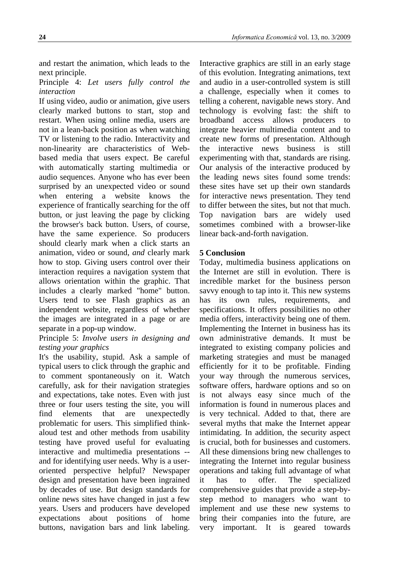and restart the animation, which leads to the next principle.

## Principle 4: *Let users fully control the interaction*

If using video, audio or animation, give users clearly marked buttons to start, stop and restart. When using online media, users are not in a lean-back position as when watching TV or listening to the radio. Interactivity and non-linearity are characteristics of Webbased media that users expect. Be careful with automatically starting multimedia or audio sequences. Anyone who has ever been surprised by an unexpected video or sound when entering a website knows the experience of frantically searching for the off button, or just leaving the page by clicking the browser's back button. Users, of course, have the same experience. So producers should clearly mark when a click starts an animation, video or sound, *and* clearly mark how to stop. Giving users control over their interaction requires a navigation system that allows orientation within the graphic. That includes a clearly marked "home" button. Users tend to see Flash graphics as an independent website, regardless of whether the images are integrated in a page or are separate in a pop-up window.

## Principle 5: *Involve users in designing and testing your graphics*

It's the usability, stupid. Ask a sample of typical users to click through the graphic and to comment spontaneously on it. Watch carefully, ask for their navigation strategies and expectations, take notes. Even with just three or four users testing the site, you will find elements that are unexpectedly problematic for users. This simplified thinkaloud test and other methods from usability testing have proved useful for evaluating interactive and multimedia presentations - and for identifying user needs. Why is a useroriented perspective helpful? Newspaper design and presentation have been ingrained by decades of use. But design standards for online news sites have changed in just a few years. Users and producers have developed expectations about positions of home buttons, navigation bars and link labeling.

Interactive graphics are still in an early stage of this evolution. Integrating animations, text and audio in a user-controlled system is still a challenge, especially when it comes to telling a coherent, navigable news story. And technology is evolving fast: the shift to broadband access allows producers to integrate heavier multimedia content and to create new forms of presentation. Although the interactive news business is still experimenting with that, standards are rising. Our analysis of the interactive produced by the leading news sites found some trends: these sites have set up their own standards for interactive news presentation. They tend to differ between the sites, but not that much. Top navigation bars are widely used sometimes combined with a browser-like linear back-and-forth navigation.

## **5 Conclusion**

Today, multimedia business applications on the Internet are still in evolution. There is incredible market for the business person savvy enough to tap into it. This new systems has its own rules, requirements, and specifications. It offers possibilities no other media offers, interactivity being one of them. Implementing the Internet in business has its own administrative demands. It must be integrated to existing company policies and marketing strategies and must be managed efficiently for it to be profitable. Finding your way through the numerous services, software offers, hardware options and so on is not always easy since much of the information is found in numerous places and is very technical. Added to that, there are several myths that make the Internet appear intimidating. In addition, the security aspect is crucial, both for businesses and customers. All these dimensions bring new challenges to integrating the Internet into regular business operations and taking full advantage of what it has to offer. The specialized comprehensive guides that provide a step-bystep method to managers who want to implement and use these new systems to bring their companies into the future, are very important. It is geared towards